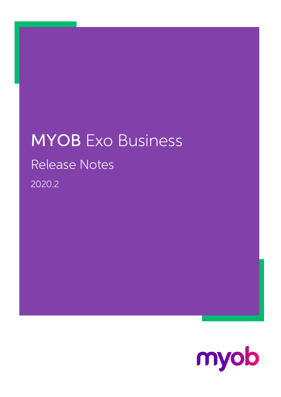## MYOB Exo Business Release Notes 2020.2

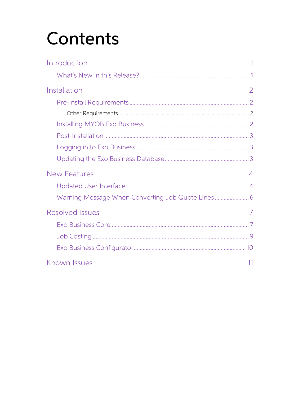# Contents

| Introduction           |   |
|------------------------|---|
|                        |   |
| Installation           | 2 |
|                        |   |
|                        |   |
|                        |   |
|                        |   |
|                        |   |
|                        |   |
| <b>New Features</b>    | 4 |
|                        |   |
|                        |   |
|                        |   |
| <b>Resolved Issues</b> | 7 |
|                        |   |
|                        |   |
|                        |   |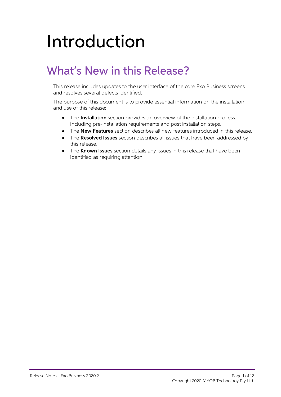# <span id="page-2-0"></span>Introduction

## <span id="page-2-1"></span>What's New in this Release?

This release includes updates to the user interface of the core Exo Business screens

and resolves several defects identified. The purpose of this document is to provide essential information on the installation and use of this release:

- The **Installation** section provides an overview of the installation process, including pre-installation requirements and post installation steps.
- The **New Features** section describes all new features introduced in this release.
- The **Resolved Issues** section describes all issues that have been addressed by this release.
- The **Known Issues** section details any issues in this release that have been identified as requiring attention.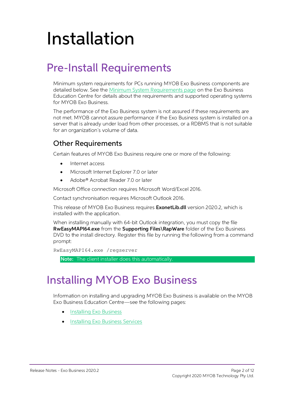## <span id="page-3-0"></span>Installation

## <span id="page-3-1"></span>Pre-Install Requirements

Minimum system requirements for PCs running MYOB Exo Business components are detailed below. See the <u>Minimum System Requirements page</u> on the Exo Business Education Centre for details about the requirements and supported

The performance of the Exo Business system is not assured if these requirements are not met. MYOB cannot assure performance if the Exo Business system is installed on a server that is already under load from other processe

#### <span id="page-3-2"></span>Other Requirements

Certain features of MYOB Exo Business require one or more of the following:

- Internet access
- Microsoft Internet Explorer 7.0 or later
- Adobe® Acrobat Reader 7.0 or later

Microsoft Office connection requires Microsoft Word/Excel 2016.

Contact synchronisation requires Microsoft Outlook 2016.

This release of MYOB Exo Business requires **ExonetLib.dll** version 2020.2, which is installed with the application.

When installing manually with 64-bit Outlook integration, you must copy the file RwEasyMAPI64.exe from the Supporting Files\RapWare folder of the Exo Business DVD to the install directory. Register this file by running the following from a command prompt:

```
RwEasyMAPI64.exe /regserver
```
Note: The client installer does this automatically.

### <span id="page-3-3"></span>Installing MYOB Exo Business

Information on installing and upgrading MYOB Exo Business is available on the MYOB Exo Business Education Centre see the following pages:

- [Installing Exo Business](http://help.myob.com.au/exo/installexobusiness.htm)
- [Installing Exo Business Services](http://help.myob.com.au/exo/installexobusinessservices.htm)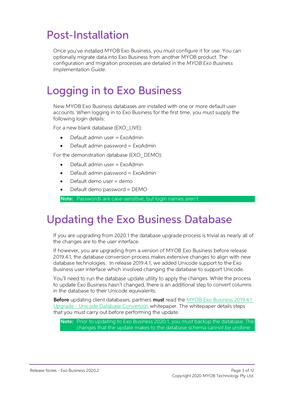### <span id="page-4-0"></span>Post-Installation

Once you've installed MYOB Exo Business, you must configure it for use. You can optionally migrate data into Exo Business from another MYOB product. The configuration and migration processes are detailed in the MYOB Exo Bu

### <span id="page-4-1"></span>Logging in to Exo Business

New MYOB Exo Business databases are installed with one or more default user<br>accounts. When logging in to Exo Business for the first time, you must supply the<br>following login details:

For a new blank database (EXO LIVE):

- $\bullet$  Default admin user = ExoAdmin
- Default admin password = ExoAdmin

For the demonstration database (EXO DEMO):

- Default admin user = ExoAdmin
- $\bullet$  Default admin password = ExoAdmin
- Default demo user = demo
- Default demo password = DEMO

Note: Passwords are case-sensitive, but login names aren't.

#### <span id="page-4-2"></span>Updating the Exo Business Database

If you are upgrading from 2020.1 the database upgrade process is trivial as nearly all of<br>the changes are to the user interface.<br>If however, you are upgrading from a version of MYOB Exo Business before release<br>2019.4.1, th

You'll need to run the database update utility to apply the changes. While the process<br>to update Exo Business hasn't changed, there is an additional step to convert columns<br>in the database to their Unicode equivalents.

Before updating client databases, partners must read the <u>MYOB Exo Business 2019.4.1</u><br>Upgrade - Unicode Database Conversion whitepaper. The whitepaper details steps that you must carry out before performing the update.

Note: Prior to updating to Exo Business 2020.1, you must backup the database. The changes that the update makes to the database schema cannot be undone.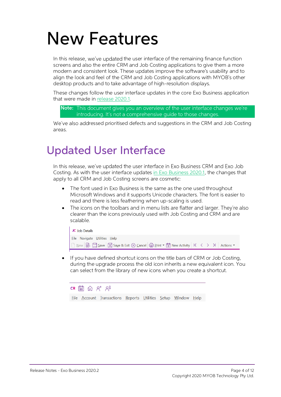## <span id="page-5-0"></span>New Features

In this release, we've updated the user interface of the remaining finance function<br>screens and also the entire CRM and Job Costing applications to give them a more<br>modern and consistent look. These updates improve the sof

These changes follow the user interface updates in the core Exo Business application that were made in release 2020.1.

Note: This document gives you an overview of the user interface changes we're introducing. It's not a comprehensive quide to those changes.

We've also addressed prioritised defects and suggestions in the CRM and Job Costing<br>areas.

### <span id="page-5-1"></span>Updated User Interface

In this release, we've updated the user interface in Exo Business CRM and Exo Job<br>Costing. As with the user interface updates in Exo Business 2020.1, the changes that<br>apply to all CRM and Job Costing screens are cosmetic:

- The font used in Exo Business is the same as the one used throughout Microsoft Windows and it supports Unicode characters. The font is easier to read and there is less feathering when up-scaling is used.
- The icons on the toolbars and in menu lists are flatter and larger. They're also • clearer than the icons previously used with Job Costing and CRM and are scalable.



• If you have defined shortcut icons on the title bars of CRM or Job Costing, during the upgrade process the old icon inherits a new equivalent icon. You can select from the library of new icons when you create a shortcut.

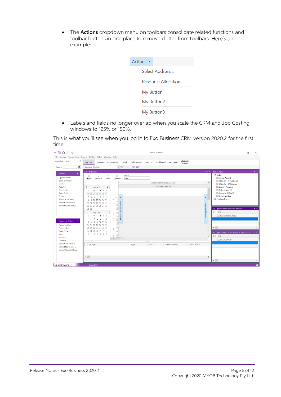The **Actions** dropdown menu on toolbars consolidate related functions and toolbar buttons in one place to remove clutter from toolbars. Here's an example:

| Actions $\blacktriangledown$ |
|------------------------------|
| Select Address               |
| <b>Resource Allocations</b>  |
| My Button1                   |
| My Button2                   |
| My Button3                   |

• Labels and fields no longer overlap when you scale the CRM and Job Costing windows to 125% or 150%.

This is what you'll see when you log in to Exo Business CRM version 2020.2 for the first time:

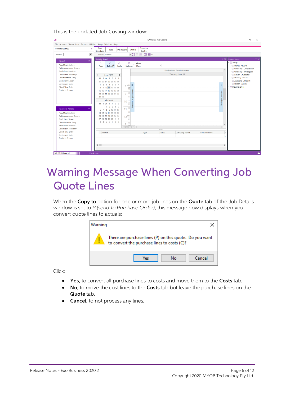This is the updated Job Costing window:

| Eile Account Transactions Reports Utilities Setup Window Help<br>Education<br>Task<br><b>Menu Favourites</b><br>$\mathbf{a}$<br>Dashboard<br><b>Utilities</b><br>Jobs<br>Scheduler<br>Centre<br>¥日<br>$\times$<br>田田田<br>Layouts: Default<br>Search:<br>$\star \times$<br><b>Activity Search</b><br><b>Recent Items</b><br>Recent<br>《<br>v 偷 Today<br>n<br>$\circ$<br>P<br>的<br>Views:<br>Befresh <sup>3</sup> Iools Options Days<br>Plan/Maintain Jobs<br>® Honda Accord<br>$\checkmark$<br><b>New</b><br><b>Debtors Account Screen</b><br><sup>-</sup> © Office Pc - Christchurch<br>$\land$<br>Exo Business Admin Account<br><b>Batch Print Invoices</b><br>Office Pc - Wellington<br>Thursday, June 11<br>Direct New Job Entry<br>Server - Auckland<br><b>June 2020</b><br>$\mathbf{r}$<br>$\blacktriangleleft$<br><b>Direct Material Entry</b><br>⊙ Delivery Van #1<br>M T W T F S S<br>Stock Item Screen<br><b>® Auckland Office Pc</b><br>25 26 27 28 29 30 31<br><b><i><b>O</b></i></b> Nissan Maxima<br>Serviceable Units<br>1 2 3 4 5 6 7<br>$\mathcal{Y}$<br>8 AM K<br><b><i><u>i</u></i></b> Previous Days<br><b>Direct Time Entry</b><br>8 9 10 11 12 13 14<br><b>Contacts Screen</b><br>15 16 17 18 19 20 21<br>Next appointment<br>9<br>22 23 24 25 26 27 28<br>29 30<br>$10^{-00}$<br><b>July 2020</b><br>M T W T F S S<br>1 2 3 4 5<br>운<br>00<br><b>Favourite Actions</b><br>交<br>11<br>6 7 8 9 10 11 12<br>30<br>Plan/Maintain Jobs<br>13 14 15 16 17 18 19<br>$12^{PM}$<br>20 21 22 23 24 25 26<br>Debtors Account Screen<br>27 28 29 30 31 1 2<br><b>Stock Item Screen</b><br>30<br>3 4 5 6 7 8 9<br><b>Direct Material Entry</b><br>00<br>$\checkmark$<br><b>Batch Print Invoices</b> | JC. | MYOB Exo Job Costing       | σ<br>$\times$                      |
|--------------------------------------------------------------------------------------------------------------------------------------------------------------------------------------------------------------------------------------------------------------------------------------------------------------------------------------------------------------------------------------------------------------------------------------------------------------------------------------------------------------------------------------------------------------------------------------------------------------------------------------------------------------------------------------------------------------------------------------------------------------------------------------------------------------------------------------------------------------------------------------------------------------------------------------------------------------------------------------------------------------------------------------------------------------------------------------------------------------------------------------------------------------------------------------------------------------------------------------------------------------------------------------------------------------------------------------------------------------------------------------------------------------------------------------------------------------------------------------------------------------------------------------------------------------------------------------------------------------------------------------------------------------------------------------------------------------|-----|----------------------------|------------------------------------|
|                                                                                                                                                                                                                                                                                                                                                                                                                                                                                                                                                                                                                                                                                                                                                                                                                                                                                                                                                                                                                                                                                                                                                                                                                                                                                                                                                                                                                                                                                                                                                                                                                                                                                                              |     |                            |                                    |
| Direct New Job Entry<br><br><b>Direct Time Entry</b><br>$\mathsf{S}$<br>Subject<br>Type<br>Company Name<br>Contact Name<br>Status<br>Serviceable Units<br>Si<br>Contacts Screen<br>$\langle$<br>$\rightarrow$<br>NZ ED EB Internal<br>ExoAdmin                                                                                                                                                                                                                                                                                                                                                                                                                                                                                                                                                                                                                                                                                                                                                                                                                                                                                                                                                                                                                                                                                                                                                                                                                                                                                                                                                                                                                                                               |     | $H(H)$ $H$ $H$ $H$ $H$ $H$ | $\blacktriangledown$ $\times$<br>۰ |

### <span id="page-7-0"></span>Warning Message When Converting Job Quote Lines

When the **Copy to** option for one or more job lines on the **Quote** tab of the Job Details window is set to P (send to Purchase Order), this message now displays when you convert quote lines to actuals:

| Warning |                                                                                                        |        |
|---------|--------------------------------------------------------------------------------------------------------|--------|
|         | There are purchase lines (P) on this quote. Do you want<br>to convert the purchase lines to costs (C)? |        |
|         | Nο<br>/ec                                                                                              | Cancel |

Click:

- Yes, to convert all purchase lines to costs and move them to the Costs tab.
- No, to move the cost lines to the Costs tab but leave the purchase lines on the Quote tab.
- Cancel, to not process any lines.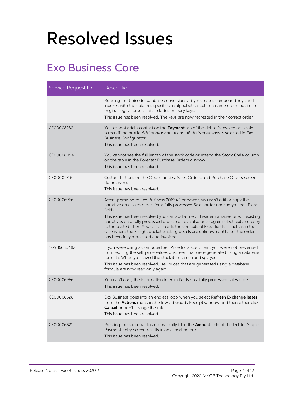## <span id="page-8-0"></span>Resolved Issues

### <span id="page-8-1"></span>Exo Business Core

| Service Request ID | Description                                                                                                                                                                                                                                                                                                                                                                                                                                                                                                                                                                         |
|--------------------|-------------------------------------------------------------------------------------------------------------------------------------------------------------------------------------------------------------------------------------------------------------------------------------------------------------------------------------------------------------------------------------------------------------------------------------------------------------------------------------------------------------------------------------------------------------------------------------|
|                    | Running the Unicode database conversion utility recreates compound keys and<br>indexes with the columns specified in alphabetical column name order, not in the<br>original logical order. This includes primary keys.<br>This issue has been resolved. The keys are now recreated in their correct order.                                                                                                                                                                                                                                                                          |
| CE00008282         | You cannot add a contact on the Payment tab of the debtor's invoice cash sale<br>screen if the profile Add debtor contact details to transactions is selected in Exo<br><b>Business Configurator.</b><br>This issue has been resolved.                                                                                                                                                                                                                                                                                                                                              |
| CE00008094         | You cannot see the full length of the stock code or extend the Stock Code column<br>on the table in the Forecast Purchase Orders window.<br>This issue has been resolved.                                                                                                                                                                                                                                                                                                                                                                                                           |
| CE00007716         | Custom buttons on the Opportunities, Sales Orders, and Purchase Orders screens<br>do not work.<br>This issue has been resolved.                                                                                                                                                                                                                                                                                                                                                                                                                                                     |
| CE00006966         | After upgrading to Exo Business 2019.4.1 or newer, you can't edit or copy the<br>narrative on a sales order for a fully processed Sales order nor can you edit Extra<br>fields.<br>This issue has been resolved you can add a line or header narrative or edit existing<br>narratives on a fully processed order. You can also once again select text and copy<br>to the paste buffer You can also edit the contexts of Extra fields - such as in the<br>case where the Freight docket tracking details are unknown until after the order<br>has been fully processed and invoiced. |
| 172736630482       | If you were using a Computed Sell Price for a stock item, you were not prevented<br>from editing the sell price values onscreen that were generated using a database<br>formula. When you saved the stock item, an error displayed.<br>This issue has been resolved. sell prices that are generated using a database<br>formula are now read only again.                                                                                                                                                                                                                            |
| CE00006966         | You can't copy the information in extra fields on a fully processed sales order.<br>This issue has been resolved.                                                                                                                                                                                                                                                                                                                                                                                                                                                                   |
| CE00006528         | Exo Business goes into an endless loop when you select Refresh Exchange Rates<br>from the <b>Actions</b> menu in the Inward Goods Receipt window and then either click<br><b>Cancel</b> or don't change the rate.<br>This issue has been resolved.                                                                                                                                                                                                                                                                                                                                  |
| CE00006821         | Pressing the spacebar to automatically fill in the Amount field of the Debtor Single<br>Payment Entry screen results in an allocation error.<br>This issue has been resolved.                                                                                                                                                                                                                                                                                                                                                                                                       |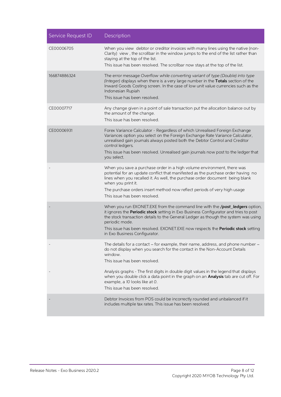| Service Request ID | Description                                                                                                                                                                                                                                                                                                                                                                                       |
|--------------------|---------------------------------------------------------------------------------------------------------------------------------------------------------------------------------------------------------------------------------------------------------------------------------------------------------------------------------------------------------------------------------------------------|
| CE00006705         | When you view debtor or creditor invoices with many lines using the native (non-<br>Clarity) view, the scrollbar in the window jumps to the end of the list rather than<br>staying at the top of the list.<br>This issue has been resolved. The scrollbar now stays at the top of the list.                                                                                                       |
| 166874886324       | The error message Overflow while converting variant of type (Double) into type<br>(Integer) displays when there is a very large number in the Totals section of the<br>Inward Goods Costing screen. In the case of low unit value currencies such as the<br>Indonesian Rupiah<br>This issue has been resolved.                                                                                    |
| CE00007717         | Any change given in a point of sale transaction put the allocation balance out by<br>the amount of the change.<br>This issue has been resolved.                                                                                                                                                                                                                                                   |
| CE00006931         | Forex Variance Calculator - Regardless of which Unrealised Foreign Exchange<br>Variances option you select on the Foreign Exchange Rate Variance Calculator,<br>unrealised gain journals always posted both the Debtor Control and Creditor<br>control ledgers.<br>This issue has been resolved. Unrealised gain journals now post to the ledger that<br>you select.                              |
|                    | When you save a purchase order in a high volume environment, there was<br>potential for an update conflict that manifested as the purchase order having no<br>lines when you recalled it. As well, the purchase order document being blank<br>when you print it.<br>The purchase orders insert method now reflect periods of very high usage<br>This issue has been resolved.                     |
|                    | When you run EXONET.EXE from the command line with the /post_ledgers option,<br>it ignores the Periodic stock setting in Exo Business Configurator and tries to post<br>the stock transaction details to the General Ledger as though the system was using<br>periodic mode.<br>This issue has been resolved. EXONET.EXE now respects the Periodic stock setting<br>in Exo Business Configurator. |
|                    | The details for a contact – for example, their name, address, and phone number –<br>do not display when you search for the contact in the Non-Account Details<br>window.<br>This issue has been resolved.                                                                                                                                                                                         |
|                    | Analysis graphs - The first digits in double digit values in the legend that displays<br>when you double click a data point in the graph on an <b>Analysis</b> tab are cut off. For<br>example, a 10 looks like at 0.<br>This issue has been resolved.                                                                                                                                            |
|                    | Debtor Invoices from POS could be incorrectly rounded and unbalanced if it<br>includes multiple tax rates. This issue has been resolved.                                                                                                                                                                                                                                                          |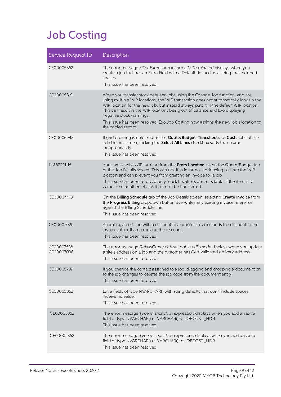## <span id="page-10-0"></span>Job Costing

| Service Request ID       | Description                                                                                                                                                                                                                                                                                                                                                                                                                                                                          |
|--------------------------|--------------------------------------------------------------------------------------------------------------------------------------------------------------------------------------------------------------------------------------------------------------------------------------------------------------------------------------------------------------------------------------------------------------------------------------------------------------------------------------|
| CE00005852               | The error message Filter Expression incorrectly Terminated displays when you<br>create a job that has an Extra Field with a Default defined as a string that included<br>spaces.<br>This issue has been resolved.                                                                                                                                                                                                                                                                    |
| CE00005819               | When you transfer stock between jobs using the Change Job function, and are<br>using multiple WIP locations, the WIP transaction does not automatically look up the<br>WIP location for the new job, but instead always puts it in the default WIP location<br>This can result in the WIP locations being out of balance and Exo displaying<br>negative stock warnings.<br>This issue has been resolved. Exo Job Costing now assigns the new job's location to<br>the copied record. |
| CE00006948               | If grid ordering is unlocked on the Quote/Budget, Timesheets, or Costs tabs of the<br>Job Details screen, clicking the Select All Lines checkbox sorts the column<br>innapropriately.<br>This issue has been resolved.                                                                                                                                                                                                                                                               |
| 111887221115             | You can select a WIP location from the From Location list on the Quote/Budget tab<br>of the Job Details screen. This can result in incorrect stock being put into the WIP<br>location and can prevent you from creating an invoice for a job.<br>This issue has been resolved only Stock Locations are selectable. If the item is to<br>come from another job's WIP, it must be transferred.                                                                                         |
| CE00007778               | On the Billing Schedule tab of the Job Details screen, selecting Create Invoice from<br>the Progress Billing dropdown button overwrites any existing invoice reference<br>against the Billing Schedule line.<br>This issue has been resolved.                                                                                                                                                                                                                                        |
| CE00007020               | Allocating a cost line with a discount to a progress invoice adds the discount to the<br>invoice rather than removing the discount.<br>This issue has been resolved.                                                                                                                                                                                                                                                                                                                 |
| CE00007538<br>CE00007036 | The error message DetailsQuery dataset not in edit mode displays when you update<br>a site's address on a job and the customer has Geo-validated delivery address.<br>This issue has been resolved.                                                                                                                                                                                                                                                                                  |
| CE00005797               | If you change the contact assigned to a job, dragging and dropping a document on<br>to the job changes to deletes the job code from the document entry.<br>This issue has been resolved.                                                                                                                                                                                                                                                                                             |
| CE00005852               | Extra fields of type NVARCHAR() with string defaults that don't include spaces<br>receive no value.<br>This issue has been resolved.                                                                                                                                                                                                                                                                                                                                                 |
| CE00005852               | The error message Type mismatch in expression displays when you add an extra<br>field of type NVARCHAR() or VARCHAR() to JOBCOST_HDR.<br>This issue has been resolved.                                                                                                                                                                                                                                                                                                               |
| CE00005852               | The error message Type mismatch in expression displays when you add an extra<br>field of type NVARCHAR() or VARCHAR() to JOBCOST_HDR.<br>This issue has been resolved.                                                                                                                                                                                                                                                                                                               |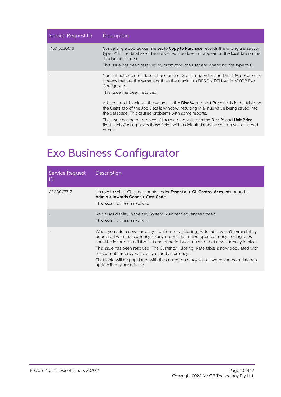| Service Request ID | <b>Description</b>                                                                                                                                                                                                                                                                       |
|--------------------|------------------------------------------------------------------------------------------------------------------------------------------------------------------------------------------------------------------------------------------------------------------------------------------|
| 145715630618       | Converting a Job Quote line set to <b>Copy to Purchase</b> records the wrong transaction<br>type 'P' in the database. The converted line does not appear on the Cost tab on the<br>Job Details screen.<br>This issue has been resolved by prompting the user and changing the type to C. |
|                    | You cannot enter full descriptions on the Direct Time Entry and Direct Material Entry<br>screens that are the same length as the maximum DESCWIDTH set in MYOB Exo<br>Configurator.<br>This issue has been resolved                                                                      |
|                    | A User could blank out the values in the <b>Disc %</b> and <b>Unit Price</b> fields in the table on<br>the <b>Costs</b> tab of the Job Details window, resulting in a null value being saved into<br>the database. This caused problems with some reports.                               |
|                    | This issue has been resolved. If there are no values in the <b>Disc %</b> and <b>Unit Price</b><br>fields, Job Costing saves those fields with a default database column value instead<br>of null.                                                                                       |

### <span id="page-11-0"></span>Exo Business Configurator

| Service Request<br>ID | Description                                                                                                                                                                                                                                                                                                                                                                                                                                                                                                                            |
|-----------------------|----------------------------------------------------------------------------------------------------------------------------------------------------------------------------------------------------------------------------------------------------------------------------------------------------------------------------------------------------------------------------------------------------------------------------------------------------------------------------------------------------------------------------------------|
| CE00007717            | Unable to select GL subaccounts under <b>Essential &gt; GL Control Accounts</b> or under<br>Admin > Inwards Goods > Cost Code.<br>This issue has been resolved.                                                                                                                                                                                                                                                                                                                                                                        |
|                       | No values display in the Key System Number Sequences screen.<br>This issue has been resolved.                                                                                                                                                                                                                                                                                                                                                                                                                                          |
|                       | When you add a new currency, the Currency Closing Rate table wasn't immediately<br>populated with that currency so any reports that relied upon currency closing rates<br>could be incorrect until the first end of period was run with that new currency in place.<br>This issue has been resolved. The Currency Closing Rate table is now populated with<br>the current currency value as you add a currency.<br>That table will be populated with the current currency values when you do a database<br>update if they are missing. |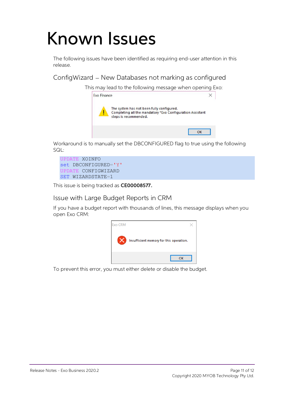## <span id="page-12-0"></span>Known Issues

The following issues have been identified as requiring end-user attention in this release.

ConfigWizard – New Databases not marking as configured

This may lead to the following message when opening Exo:



Workaround is to manually set the DBCONFIGURED flag to true using the following SQL:

UPDATE XOINFO set DBCONFIGURED='Y' UPDATE CONFIGWIZARD SET WIZARDSTATE=1

This issue is being tracked as CE00008577.

Issue with Large Budget Reports in CRM

If you have a budget report with thousands of lines, this message displays when you open Exo CRM:



To prevent this error, you must either delete or disable the budget.